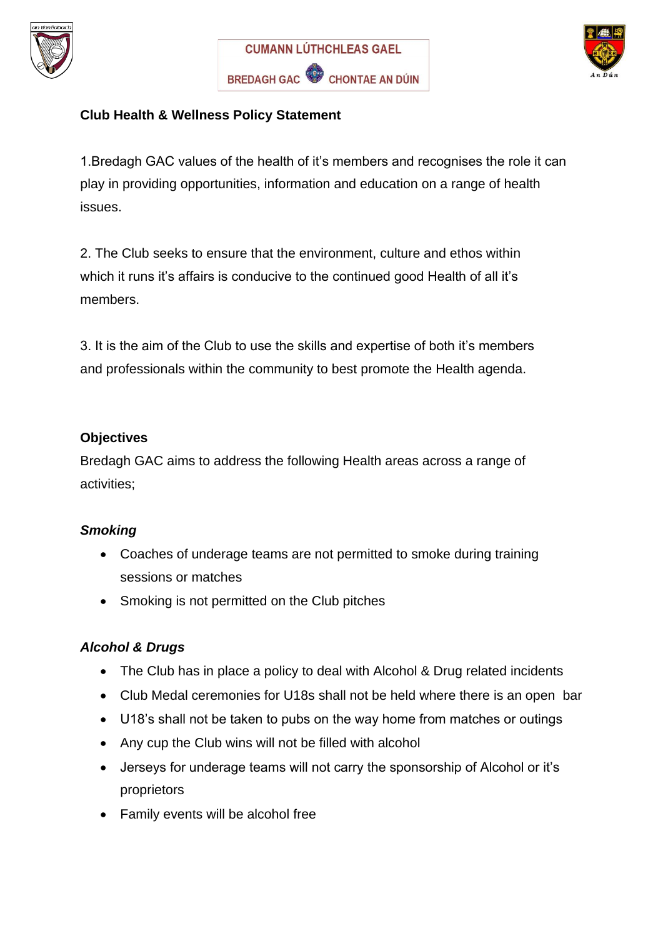





### **Club Health & Wellness Policy Statement**

1.Bredagh GAC values of the health of it's members and recognises the role it can play in providing opportunities, information and education on a range of health issues.

2. The Club seeks to ensure that the environment, culture and ethos within which it runs it's affairs is conducive to the continued good Health of all it's members.

3. It is the aim of the Club to use the skills and expertise of both it's members and professionals within the community to best promote the Health agenda.

#### **Objectives**

Bredagh GAC aims to address the following Health areas across a range of activities;

# *Smoking*

- Coaches of underage teams are not permitted to smoke during training sessions or matches
- Smoking is not permitted on the Club pitches

# *Alcohol & Drugs*

- The Club has in place a policy to deal with Alcohol & Drug related incidents
- Club Medal ceremonies for U18s shall not be held where there is an open bar
- U18's shall not be taken to pubs on the way home from matches or outings
- Any cup the Club wins will not be filled with alcohol
- Jerseys for underage teams will not carry the sponsorship of Alcohol or it's proprietors
- Family events will be alcohol free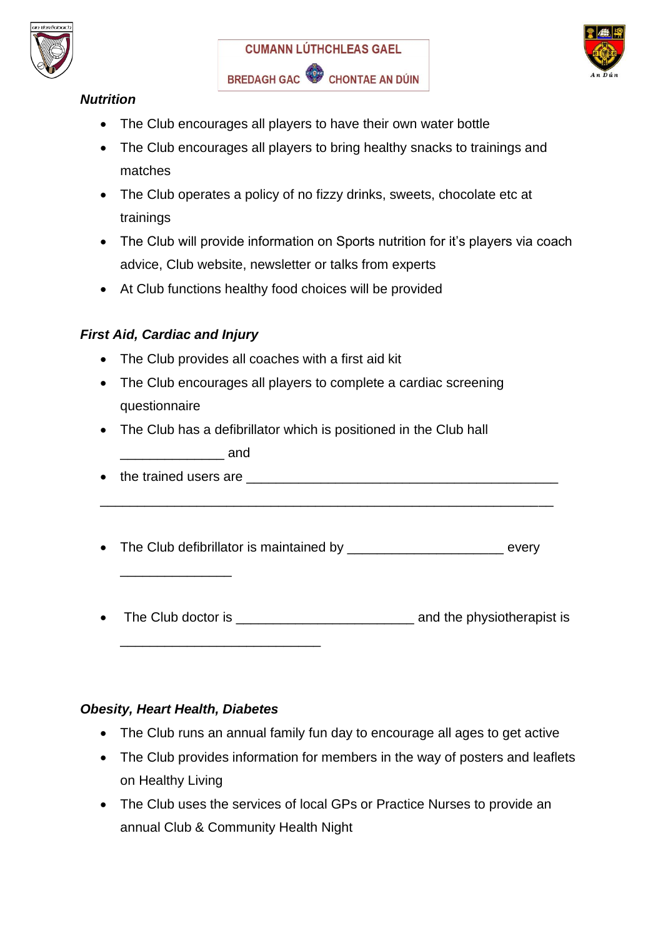





# *Nutrition*

- The Club encourages all players to have their own water bottle
- The Club encourages all players to bring healthy snacks to trainings and matches
- The Club operates a policy of no fizzy drinks, sweets, chocolate etc at trainings
- The Club will provide information on Sports nutrition for it's players via coach advice, Club website, newsletter or talks from experts
- At Club functions healthy food choices will be provided

# *First Aid, Cardiac and Injury*

- The Club provides all coaches with a first aid kit
- The Club encourages all players to complete a cardiac screening questionnaire
- The Club has a defibrillator which is positioned in the Club hall
	- \_\_\_\_\_\_\_\_\_\_\_\_\_\_ and

\_\_\_\_\_\_\_\_\_\_\_\_\_\_\_

• the trained users are **expression of the trained** users are

\_\_\_\_\_\_\_\_\_\_\_\_\_\_\_\_\_\_\_\_\_\_\_\_\_\_\_\_\_\_\_\_\_\_\_\_\_\_\_\_\_\_\_\_\_\_\_\_\_\_\_\_\_\_\_\_\_\_\_\_\_

- The Club defibrillator is maintained by every
- Fine Club doctor is the club doctor is the club doctor is and the physiotherapist is

#### *Obesity, Heart Health, Diabetes*

\_\_\_\_\_\_\_\_\_\_\_\_\_\_\_\_\_\_\_\_\_\_\_\_\_\_\_

- The Club runs an annual family fun day to encourage all ages to get active
- The Club provides information for members in the way of posters and leaflets on Healthy Living
- The Club uses the services of local GPs or Practice Nurses to provide an annual Club & Community Health Night